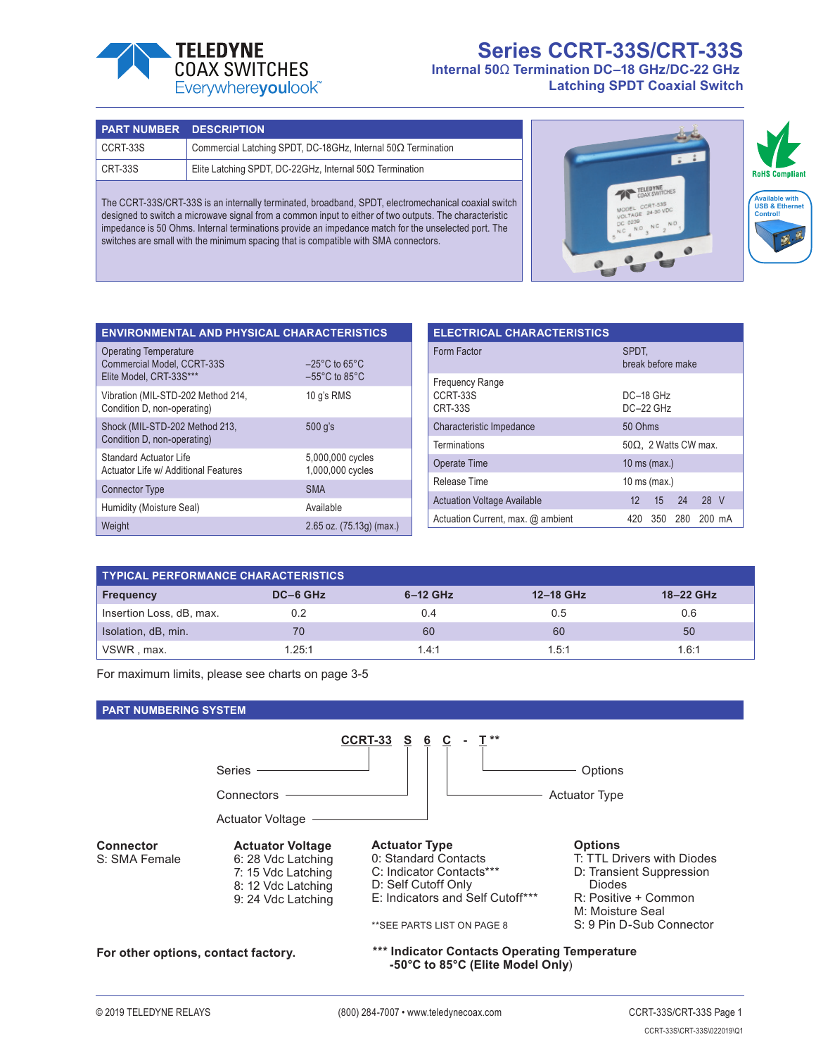

# **Series CCRT-33S/CRT-33S Internal 50**Ω **Termination DC–18 GHz/DC-22 GHz Latching SPDT Coaxial Switch**

| <b>PART NUMBER DESCRIPTION</b>                                                                      |                                                                     |  |  |  |  |
|-----------------------------------------------------------------------------------------------------|---------------------------------------------------------------------|--|--|--|--|
| CCRT-33S                                                                                            | Commercial Latching SPDT, DC-18GHz, Internal $50\Omega$ Termination |  |  |  |  |
| CRT-33S                                                                                             | Elite Latching SPDT, DC-22GHz, Internal $50\Omega$ Termination      |  |  |  |  |
| The CCRT-33S/CRT-33S is an internally terminated, broadband, SPDT, electromechanical coaxial switch |                                                                     |  |  |  |  |

The CCRT-33S/CRT-33 designed to switch a microwave signal from a common input to either of two outputs. The characteristic impedance is 50 Ohms. Internal terminations provide an impedance match for the unselected port. The switches are small with the minimum spacing that is compatible with SMA connectors.



| <b>ENVIRONMENTAL AND PHYSICAL CHARACTERISTICS</b>                                     |                                                                          |
|---------------------------------------------------------------------------------------|--------------------------------------------------------------------------|
| <b>Operating Temperature</b><br>Commercial Model, CCRT-33S<br>Elite Model, CRT-33S*** | $-25^{\circ}$ C to 65 $^{\circ}$ C<br>$-55^{\circ}$ C to 85 $^{\circ}$ C |
| Vibration (MIL-STD-202 Method 214,<br>Condition D, non-operating)                     | 10 q's RMS                                                               |
| Shock (MIL-STD-202 Method 213,<br>Condition D, non-operating)                         | 500 q's                                                                  |
| Standard Actuator Life<br>Actuator Life w/ Additional Features                        | 5,000,000 cycles<br>1,000,000 cycles                                     |
| <b>Connector Type</b>                                                                 | <b>SMA</b>                                                               |
| Humidity (Moisture Seal)                                                              | Available                                                                |
| Weight                                                                                | $2.65$ oz. $(75.13q)$ (max.)                                             |

| <b>ELECTRICAL CHARACTERISTICS</b>                                                |                            |  |  |  |  |  |
|----------------------------------------------------------------------------------|----------------------------|--|--|--|--|--|
| Form Factor                                                                      | SPDT.<br>break before make |  |  |  |  |  |
| <b>Frequency Range</b><br>CCRT-33S<br>DC-18 GHz<br><b>CRT-33S</b><br>$DC-22$ GHz |                            |  |  |  |  |  |
| Characteristic Impedance                                                         | 50 Ohms                    |  |  |  |  |  |
| <b>Terminations</b><br>$50\Omega$ , 2 Watts CW max.                              |                            |  |  |  |  |  |
| Operate Time<br>10 ms (max.)                                                     |                            |  |  |  |  |  |
| Release Time                                                                     | 10 ms (max.)               |  |  |  |  |  |
| <b>Actuation Voltage Available</b>                                               | 24 28 V<br>$12 \quad 15$   |  |  |  |  |  |
| Actuation Current, max. @ ambient                                                | 280 200 mA<br>350<br>420   |  |  |  |  |  |

| <b>TYPICAL PERFORMANCE CHARACTERISTICS</b> |          |            |           |           |  |
|--------------------------------------------|----------|------------|-----------|-----------|--|
| <b>Frequency</b>                           | DC-6 GHz | $6-12$ GHz | 12-18 GHz | 18-22 GHz |  |
| Insertion Loss, dB, max.                   |          | 0.4        | 0.5       | 0.6       |  |
| Isolation, dB, min.                        | 70       | 60         | 60        | 50        |  |
| VSWR, max.                                 | 125.1    | 1.4:1      | 1.5:1     | 1.6:1     |  |

For maximum limits, please see charts on page 3-5

**PART NUMBERING SYSTEM**



**For other options, contact factory.**

**\*\*\* Indicator Contacts Operating Temperature -50°C to 85°C (Elite Model Only**)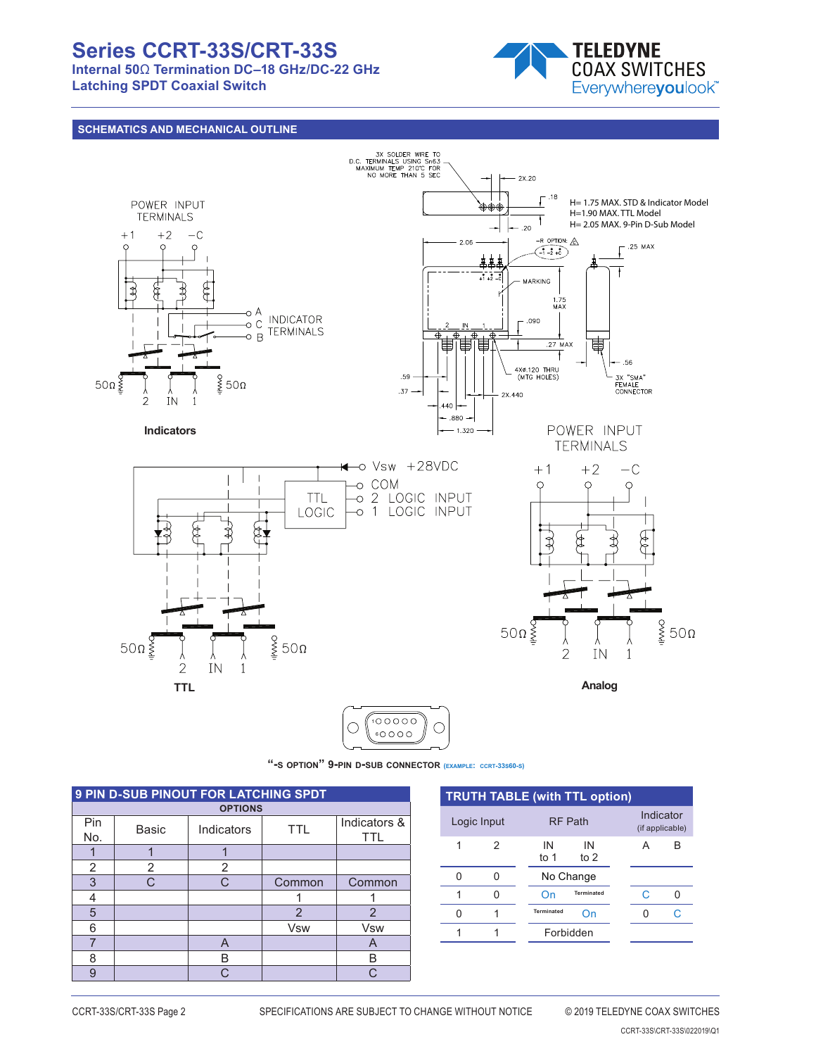# **Series CCRT-33S/CRT-33S**

**Internal 50**Ω **Termination DC–18 GHz/DC-22 GHz Latching SPDT Coaxial Switch**



## **SCHEMATICS AND MECHANICAL OUTLINE**



6

P/N 2706650 **"-s option" 9-pin d-sub connector (example: ccrt-33s60-s)**

| <b>9 PIN D-SUB PINOUT FOR LATCHING SPDT</b> |                |            |                |                            |  |  |  |  |
|---------------------------------------------|----------------|------------|----------------|----------------------------|--|--|--|--|
|                                             | <b>OPTIONS</b> |            |                |                            |  |  |  |  |
| Pin<br>No.                                  | Basic          | Indicators | <b>TTL</b>     | Indicators &<br><b>TTL</b> |  |  |  |  |
|                                             |                |            |                |                            |  |  |  |  |
| 2                                           | 2              | 2          |                |                            |  |  |  |  |
| 3                                           | $\cap$         | C          | Common         | Common                     |  |  |  |  |
| 4                                           |                |            |                |                            |  |  |  |  |
| 5                                           |                |            | $\overline{2}$ | $\overline{2}$             |  |  |  |  |
| 6                                           |                |            | <b>Vsw</b>     | <b>V<sub>sw</sub></b>      |  |  |  |  |
|                                             |                | A          |                | A                          |  |  |  |  |
| 8                                           |                | B          |                | B                          |  |  |  |  |
| $\mathbf{Q}$                                |                | C          |                | ⌒                          |  |  |  |  |

| <b>TRUTH TABLE (with TTL option)</b> |             |                |              |  |   |                              |  |  |
|--------------------------------------|-------------|----------------|--------------|--|---|------------------------------|--|--|
|                                      | Logic Input | <b>RF Path</b> |              |  |   | Indicator<br>(if applicable) |  |  |
| 1                                    | 2           | IN<br>to 1     | IN<br>to $2$ |  | А | B                            |  |  |
| 0                                    |             |                | No Change    |  |   |                              |  |  |
|                                      |             | On             | Terminated   |  | C |                              |  |  |
| O                                    |             | Terminated     | On           |  | U | C.                           |  |  |
|                                      |             |                | Forbidden    |  |   |                              |  |  |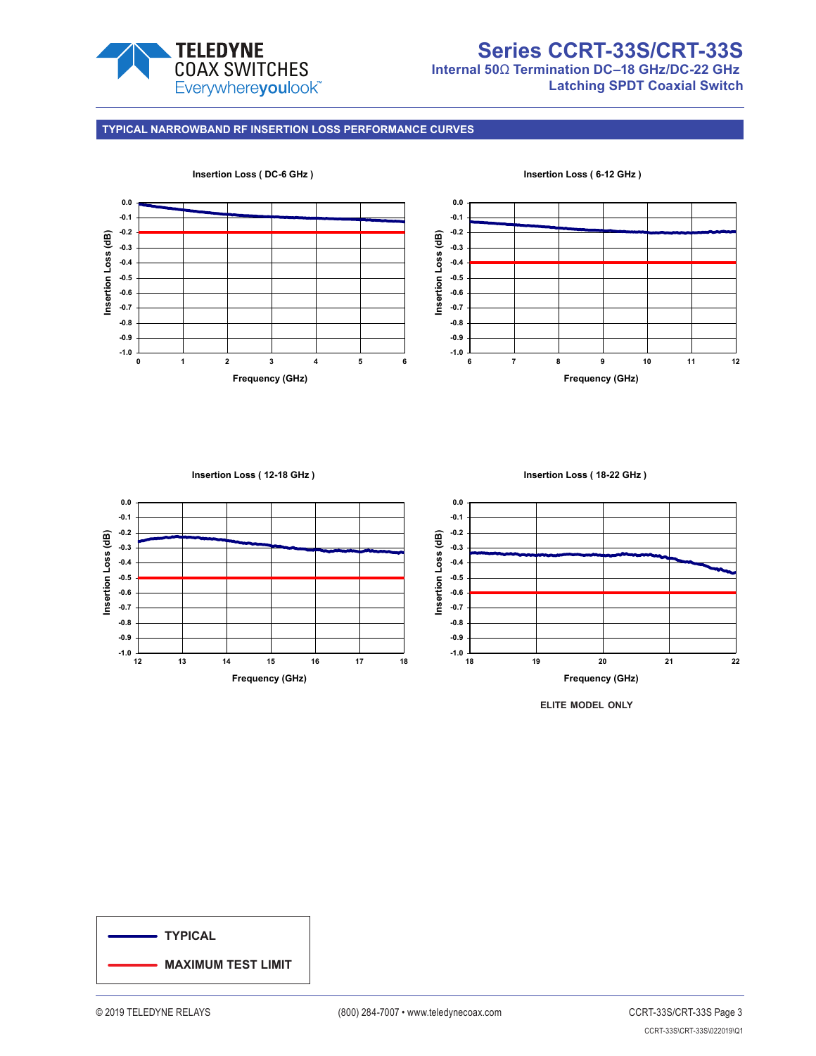

# **Series CCRT-33S/CRT-33S Internal 50**Ω **Termination DC–18 GHz/DC-22 GHz**

**Latching SPDT Coaxial Switch**

### **TYPICAL NARROWBAND RF INSERTION LOSS PERFORMANCE CURVES**



#### **Insertion Loss ( 12-18 GHz )**

**Insertion Loss ( 18-22 GHz )**



**elite model only**

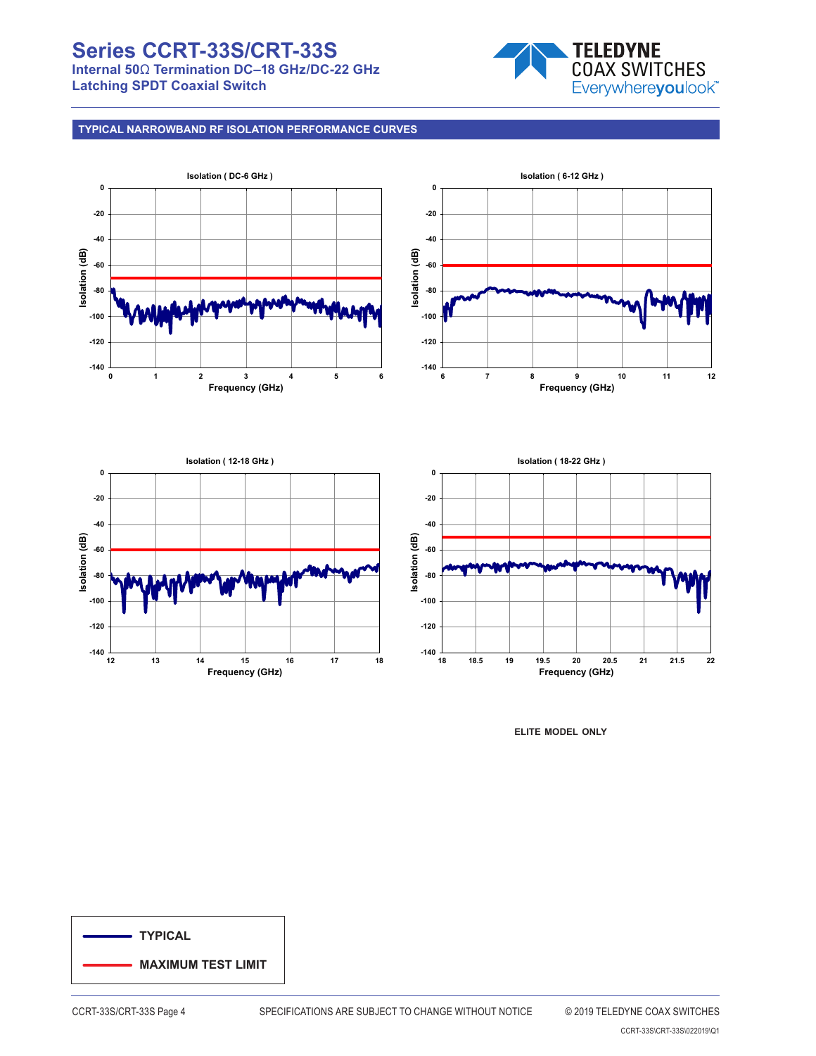# **Series CCRT-33S/CRT-33S**

**Internal 50**Ω **Termination DC–18 GHz/DC-22 GHz Latching SPDT Coaxial Switch**



## **TYPICAL NARROWBAND RF ISOLATION PERFORMANCE CURVES**









**elite model only**

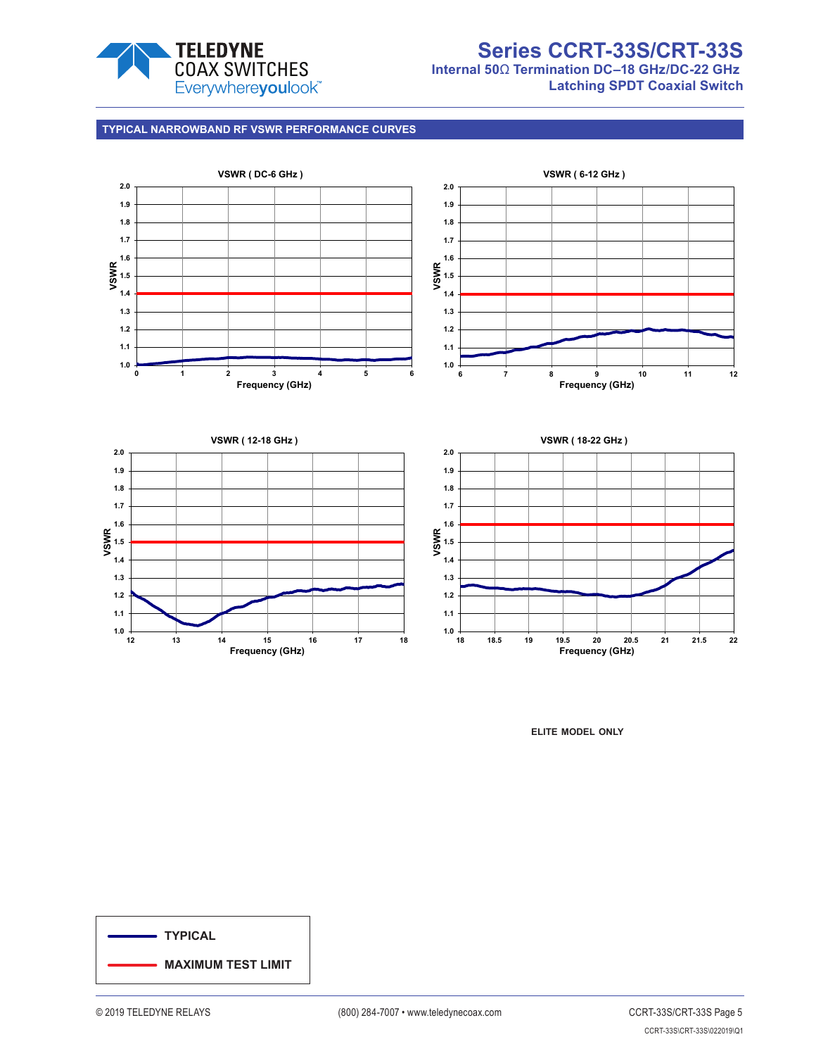

# **Series CCRT-33S/CRT-33S Internal 50**Ω **Termination DC–18 GHz/DC-22 GHz**

**Latching SPDT Coaxial Switch**

**TYPICAL NARROWBAND RF VSWR PERFORMANCE CURVES**



**elite model only**

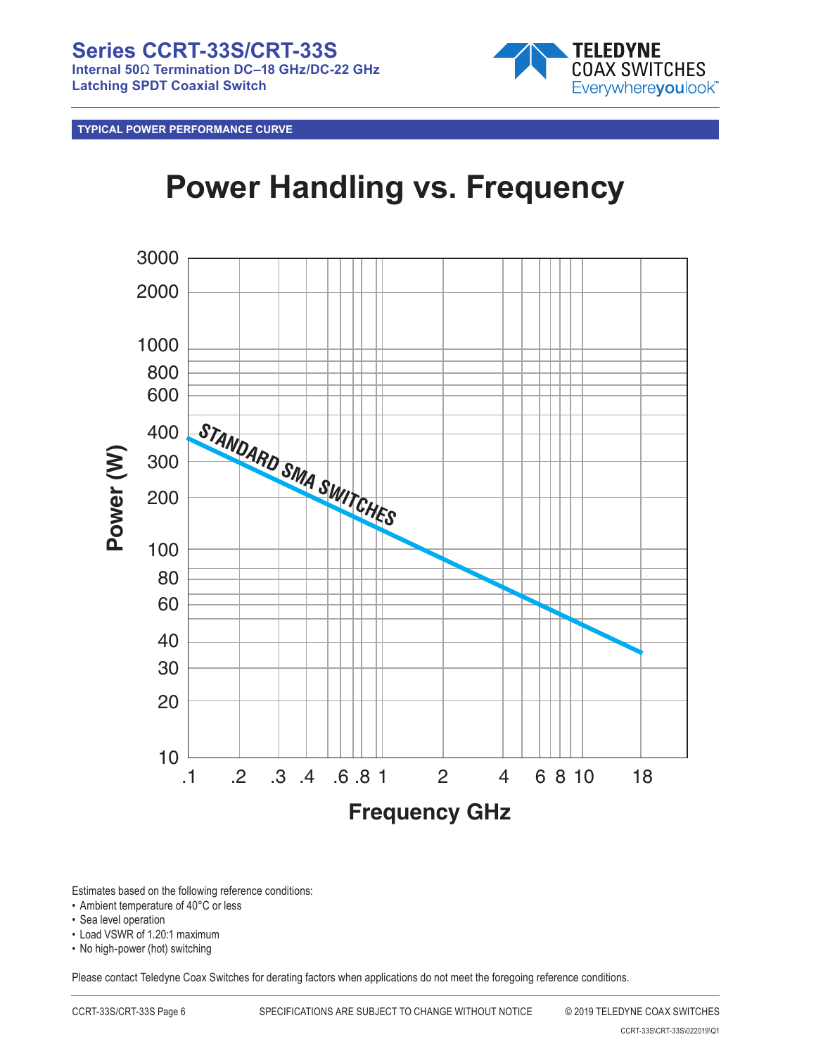**Series CCRT-33S/CRT-33S Internal 50**Ω **Termination DC–18 GHz/DC-22 GHz Latching SPDT Coaxial Switch**



**TYPICAL POWER PERFORMANCE CURVE**

# **Power Handling vs. Frequency**



Estimates based on the following reference conditions:

- Ambient temperature of 40°C or less
- Sea level operation
- Load VSWR of 1.20:1 maximum
- No high-power (hot) switching

Please contact Teledyne Coax Switches for derating factors when applications do not meet the foregoing reference conditions.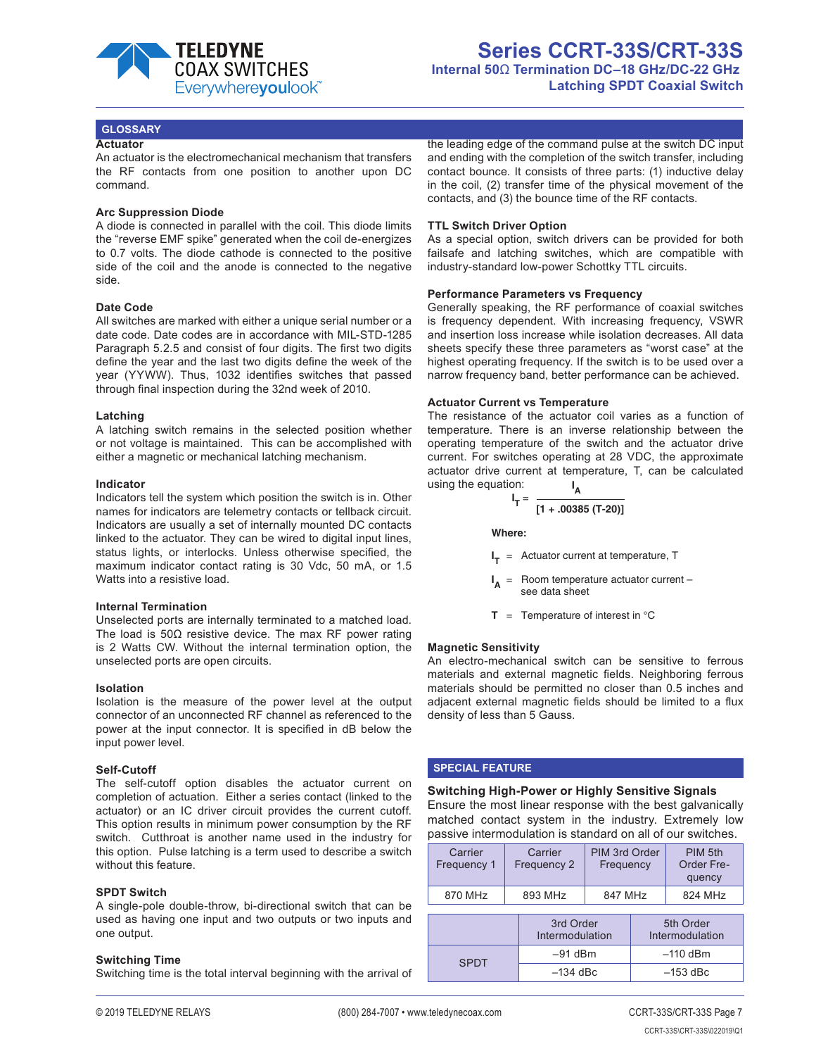

#### **GLOSSARY**

#### **Actuator**

An actuator is the electromechanical mechanism that transfers the RF contacts from one position to another upon DC command.

#### **Arc Suppression Diode**

A diode is connected in parallel with the coil. This diode limits the "reverse EMF spike" generated when the coil de-energizes to 0.7 volts. The diode cathode is connected to the positive side of the coil and the anode is connected to the negative side.

#### **Date Code**

All switches are marked with either a unique serial number or a date code. Date codes are in accordance with MIL-STD-1285 Paragraph 5.2.5 and consist of four digits. The first two digits define the year and the last two digits define the week of the year (YYWW). Thus, 1032 identifies switches that passed through final inspection during the 32nd week of 2010.

#### **Latching**

A latching switch remains in the selected position whether or not voltage is maintained. This can be accomplished with either a magnetic or mechanical latching mechanism.

#### **Indicator**

Indicators tell the system which position the switch is in. Other names for indicators are telemetry contacts or tellback circuit. Indicators are usually a set of internally mounted DC contacts linked to the actuator. They can be wired to digital input lines, status lights, or interlocks. Unless otherwise specified, the maximum indicator contact rating is 30 Vdc, 50 mA, or 1.5 Watts into a resistive load.

#### **Internal Termination**

Unselected ports are internally terminated to a matched load. The load is 50Ω resistive device. The max RF power rating is 2 Watts CW. Without the internal termination option, the unselected ports are open circuits.

#### **Isolation**

Isolation is the measure of the power level at the output connector of an unconnected RF channel as referenced to the power at the input connector. It is specified in dB below the input power level.

#### **Self-Cutoff**

The self-cutoff option disables the actuator current on completion of actuation. Either a series contact (linked to the actuator) or an IC driver circuit provides the current cutoff. This option results in minimum power consumption by the RF switch. Cutthroat is another name used in the industry for this option. Pulse latching is a term used to describe a switch without this feature.

#### **SPDT Switch**

A single-pole double-throw, bi-directional switch that can be used as having one input and two outputs or two inputs and one output.

#### **Switching Time**

Switching time is the total interval beginning with the arrival of

the leading edge of the command pulse at the switch DC input and ending with the completion of the switch transfer, including contact bounce. It consists of three parts: (1) inductive delay in the coil, (2) transfer time of the physical movement of the contacts, and (3) the bounce time of the RF contacts.

#### **TTL Switch Driver Option**

As a special option, switch drivers can be provided for both failsafe and latching switches, which are compatible with industry-standard low-power Schottky TTL circuits.

#### **Performance Parameters vs Frequency**

Generally speaking, the RF performance of coaxial switches is frequency dependent. With increasing frequency, VSWR and insertion loss increase while isolation decreases. All data sheets specify these three parameters as "worst case" at the highest operating frequency. If the switch is to be used over a narrow frequency band, better performance can be achieved.

#### **Actuator Current vs Temperature**

The resistance of the actuator coil varies as a function of temperature. There is an inverse relationship between the operating temperature of the switch and the actuator drive current. For switches operating at 28 VDC, the approximate actuator drive current at temperature, T, can be calculated using the equation: **I A**

$$
I_T = \frac{1}{[1 + .00385 (T-20)]}
$$

**Where:**

**I <sup>T</sup>** = Actuator current at temperature, T

- **I <sup>A</sup>** = Room temperature actuator current – see data sheet
- $T = T$ emperature of interest in  $°C$

#### **Magnetic Sensitivity**

An electro-mechanical switch can be sensitive to ferrous materials and external magnetic fields. Neighboring ferrous materials should be permitted no closer than 0.5 inches and adjacent external magnetic fields should be limited to a flux density of less than 5 Gauss.

#### **SPECIAL FEATURE**

**Switching High-Power or Highly Sensitive Signals** Ensure the most linear response with the best galvanically matched contact system in the industry. Extremely low passive intermodulation is standard on all of our switches.

| Carrier<br>Frequency 1 |  | Carrier<br>Frequency 2       | PIM 3rd Order<br>Frequency |            | PIM 5th<br>Order Fre-<br>quency |
|------------------------|--|------------------------------|----------------------------|------------|---------------------------------|
| 870 MHz                |  | 893 MHz                      | 847 MHz                    |            | 824 MHz                         |
|                        |  | 3rd Order<br>Intermodulation |                            |            | 5th Order<br>Intermodulation    |
| SPDT                   |  | $-91$ dBm                    |                            | $-110$ dBm |                                 |
|                        |  |                              |                            |            |                                 |

 $-134$  dBc  $-153$  dBc